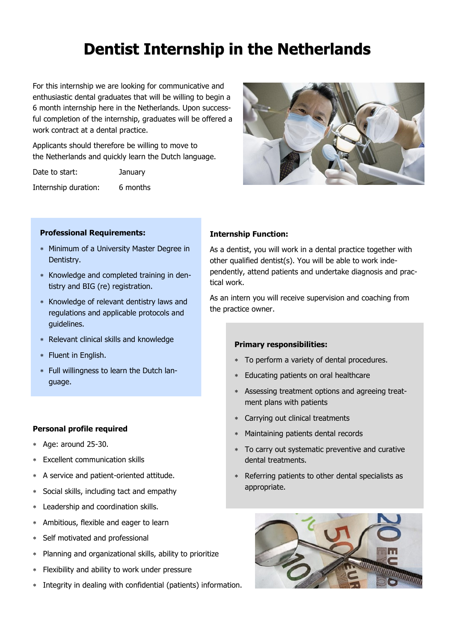# **Dentist Internship in the Netherlands Dentist Internship the Netherlands**

For this internship we are looking for communicative and enthusiastic dental graduates that will be willing to begin a 6 month internship here in the Netherlands. Upon successful completion of the internship, graduates will be offered a work contract at a dental practice.

Applicants should therefore be willing to move to the Netherlands and quickly learn the Dutch language.

Date to start: January

Internship duration: 6 months



#### **Professional Requirements:**

- Minimum of a University Master Degree in Dentistry.
- \* Knowledge and completed training in dentistry and BIG (re) registration.
- Knowledge of relevant dentistry laws and regulations and applicable protocols and guidelines.
- Relevant clinical skills and knowledge
- \* Fluent in English.
- Full willingness to learn the Dutch language.

## **Personal profile required**

- Age: around 25-30.
- Excellent communication skills
- A service and patient-oriented attitude.
- Social skills, including tact and empathy
- Leadership and coordination skills.
- Ambitious, flexible and eager to learn
- Self motivated and professional
- Planning and organizational skills, ability to prioritize
- Flexibility and ability to work under pressure
- Integrity in dealing with confidential (patients) information.

### **Internship Function:**

As a dentist, you will work in a dental practice together with other qualified dentist(s). You will be able to work independently, attend patients and undertake diagnosis and practical work.

As an intern you will receive supervision and coaching from the practice owner.

#### **Primary responsibilities:**

- To perform a variety of dental procedures.
- Educating patients on oral healthcare
- Assessing treatment options and agreeing treatment plans with patients
- Carrying out clinical treatments
- Maintaining patients dental records
- To carry out systematic preventive and curative dental treatments.
- Referring patients to other dental specialists as appropriate.